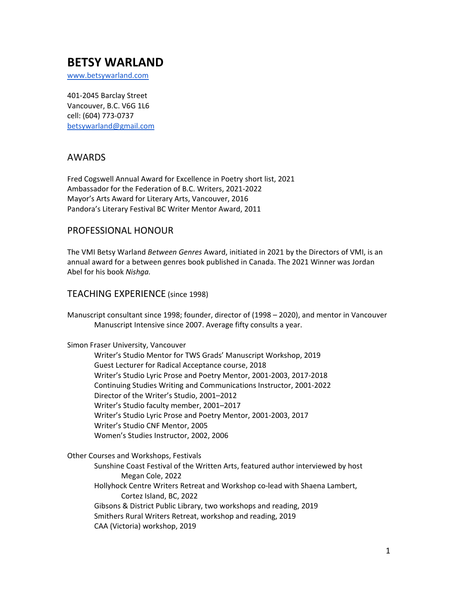# **BETSY WARLAND**

[www.betsywarland.com](http://www.betsywarland.com/)

401-2045 Barclay Street Vancouver, B.C. V6G 1L6 cell: (604) 773-0737 [betsywarland@gmail.com](mailto:betsywarland@gmail.com)

# AWARDS

Fred Cogswell Annual Award for Excellence in Poetry short list, 2021 Ambassador for the Federation of B.C. Writers, 2021-2022 Mayor's Arts Award for Literary Arts, Vancouver, 2016 Pandora's Literary Festival BC Writer Mentor Award, 2011

# PROFESSIONAL HONOUR

The VMI Betsy Warland *Between Genres* Award, initiated in 2021 by the Directors of VMI, is an annual award for a between genres book published in Canada. The 2021 Winner was Jordan Abel for his book *Nishga.*

## TEACHING EXPERIENCE (since 1998)

Manuscript consultant since 1998; founder, director of (1998 – 2020), and mentor in Vancouver Manuscript Intensive since 2007. Average fifty consults a year.

Simon Fraser University, Vancouver

Writer's Studio Mentor for TWS Grads' Manuscript Workshop, 2019 Guest Lecturer for Radical Acceptance course, 2018 Writer's Studio Lyric Prose and Poetry Mentor, 2001-2003, 2017-2018 Continuing Studies Writing and Communications Instructor, 2001-2022 Director of the Writer's Studio, 2001–2012 Writer's Studio faculty member, 2001–2017 Writer's Studio Lyric Prose and Poetry Mentor, 2001-2003, 2017 Writer's Studio CNF Mentor, 2005 Women's Studies Instructor, 2002, 2006

Other Courses and Workshops, Festivals

Sunshine Coast Festival of the Written Arts, featured author interviewed by host Megan Cole, 2022 Hollyhock Centre Writers Retreat and Workshop co-lead with Shaena Lambert, Cortez Island, BC, 2022 Gibsons & District Public Library, two workshops and reading, 2019 Smithers Rural Writers Retreat, workshop and reading, 2019 CAA (Victoria) workshop, 2019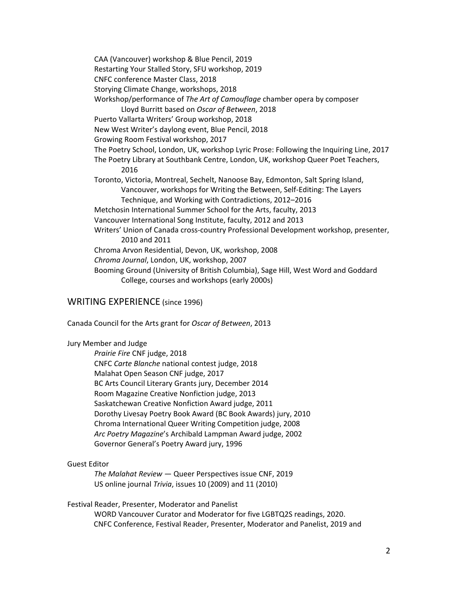CAA (Vancouver) workshop & Blue Pencil, 2019 Restarting Your Stalled Story, SFU workshop, 2019 CNFC conference Master Class, 2018 Storying Climate Change, workshops, 2018 Workshop/performance of *The Art of Camouflage* chamber opera by composer Lloyd Burritt based on *Oscar of Between*, 2018 Puerto Vallarta Writers' Group workshop, 2018 New West Writer's daylong event, Blue Pencil, 2018 Growing Room Festival workshop, 2017 The Poetry School, London, UK, workshop Lyric Prose: Following the Inquiring Line, 2017 The Poetry Library at Southbank Centre, London, UK, workshop Queer Poet Teachers, 2016 Toronto, Victoria, Montreal, Sechelt, Nanoose Bay, Edmonton, Salt Spring Island, Vancouver, workshops for Writing the Between, Self-Editing: The Layers Technique, and Working with Contradictions, 2012–2016 Metchosin International Summer School for the Arts, faculty, 2013 Vancouver International Song Institute, faculty, 2012 and 2013 Writers' Union of Canada cross-country Professional Development workshop, presenter, 2010 and 2011 Chroma Arvon Residential, Devon, UK, workshop, 2008 *Chroma Journal*, London, UK, workshop, 2007 Booming Ground (University of British Columbia), Sage Hill, West Word and Goddard College, courses and workshops (early 2000s)

### WRITING EXPERIENCE (since 1996)

Canada Council for the Arts grant for *Oscar of Between*, 2013

#### Jury Member and Judge

*Prairie Fire* CNF judge, 2018 CNFC *Carte Blanche* national contest judge, 2018 Malahat Open Season CNF judge, 2017 BC Arts Council Literary Grants jury, December 2014 Room Magazine Creative Nonfiction judge, 2013 Saskatchewan Creative Nonfiction Award judge, 2011 Dorothy Livesay Poetry Book Award (BC Book Awards) jury, 2010 Chroma International Queer Writing Competition judge, 2008 *Arc Poetry Magazine*'s Archibald Lampman Award judge, 2002 Governor General's Poetry Award jury, 1996

#### Guest Editor

*The Malahat Review* — Queer Perspectives issue CNF, 2019 US online journal *Trivia*, issues 10 (2009) and 11 (2010)

Festival Reader, Presenter, Moderator and Panelist

WORD Vancouver Curator and Moderator for five LGBTQ2S readings, 2020. CNFC Conference, Festival Reader, Presenter, Moderator and Panelist, 2019 and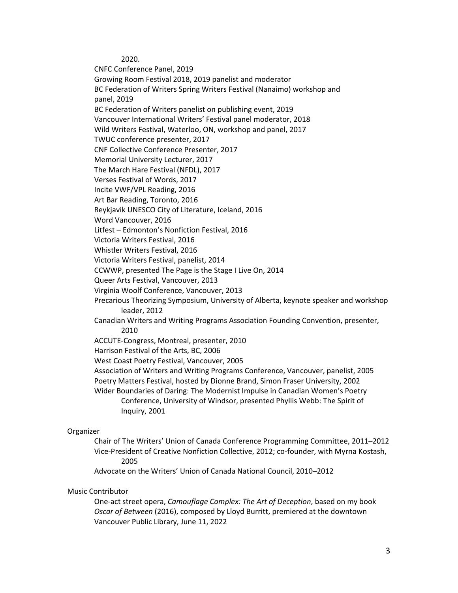2020.

CNFC Conference Panel, 2019

Growing Room Festival 2018, 2019 panelist and moderator

BC Federation of Writers Spring Writers Festival (Nanaimo) workshop and panel, 2019

BC Federation of Writers panelist on publishing event, 2019

Vancouver International Writers' Festival panel moderator, 2018

Wild Writers Festival, Waterloo, ON, workshop and panel, 2017

TWUC conference presenter, 2017

CNF Collective Conference Presenter, 2017

Memorial University Lecturer, 2017

The March Hare Festival (NFDL), 2017

Verses Festival of Words, 2017

Incite VWF/VPL Reading, 2016

Art Bar Reading, Toronto, 2016

Reykjavik UNESCO City of Literature, Iceland, 2016

Word Vancouver, 2016

Litfest – Edmonton's Nonfiction Festival, 2016

Victoria Writers Festival, 2016

Whistler Writers Festival, 2016

Victoria Writers Festival, panelist, 2014

CCWWP, presented The Page is the Stage I Live On, 2014

Queer Arts Festival, Vancouver, 2013

Virginia Woolf Conference, Vancouver, 2013

Precarious Theorizing Symposium, University of Alberta, keynote speaker and workshop leader, 2012

Canadian Writers and Writing Programs Association Founding Convention, presenter, 2010

ACCUTE-Congress, Montreal, presenter, 2010

Harrison Festival of the Arts, BC, 2006

West Coast Poetry Festival, Vancouver, 2005

Association of Writers and Writing Programs Conference, Vancouver, panelist, 2005 Poetry Matters Festival, hosted by Dionne Brand, Simon Fraser University, 2002

Wider Boundaries of Daring: The Modernist Impulse in Canadian Women's Poetry Conference, University of Windsor, presented Phyllis Webb: The Spirit of Inquiry, 2001

#### Organizer

Chair of The Writers' Union of Canada Conference Programming Committee, 2011–2012 Vice-President of Creative Nonfiction Collective, 2012; co-founder, with Myrna Kostash, 2005

Advocate on the Writers' Union of Canada National Council, 2010–2012

#### Music Contributor

One-act street opera, *Camouflage Complex: The Art of Deception*, based on my book *Oscar of Between* (2016), composed by Lloyd Burritt, premiered at the downtown Vancouver Public Library, June 11, 2022